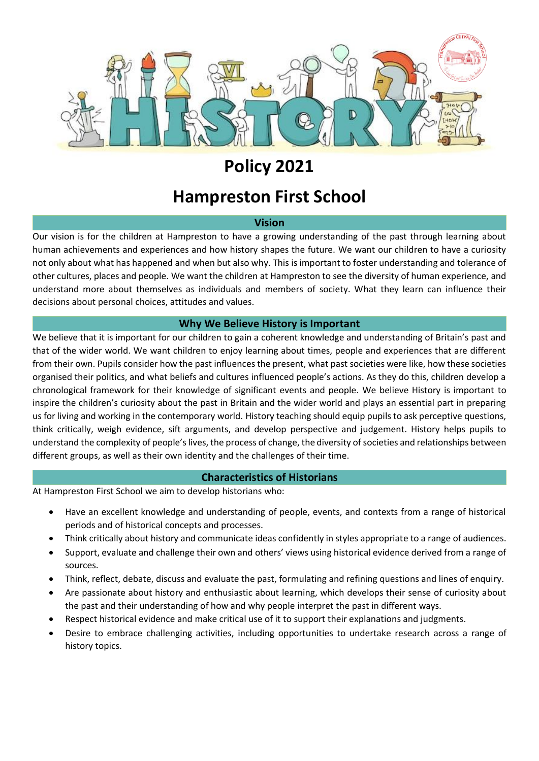

# **Policy 2021**

## **Hampreston First School**

#### **Vision**

Our vision is for the children at Hampreston to have a growing understanding of the past through learning about human achievements and experiences and how history shapes the future. We want our children to have a curiosity not only about what has happened and when but also why. This is important to foster understanding and tolerance of other cultures, places and people. We want the children at Hampreston to see the diversity of human experience, and understand more about themselves as individuals and members of society. What they learn can influence their decisions about personal choices, attitudes and values.

## **Why We Believe History is Important**

We believe that it is important for our children to gain a coherent knowledge and understanding of Britain's past and that of the wider world. We want children to enjoy learning about times, people and experiences that are different from their own. Pupils consider how the past influences the present, what past societies were like, how these societies organised their politics, and what beliefs and cultures influenced people's actions. As they do this, children develop a chronological framework for their knowledge of significant events and people. We believe History is important to inspire the children's curiosity about the past in Britain and the wider world and plays an essential part in preparing us for living and working in the contemporary world. History teaching should equip pupils to ask perceptive questions, think critically, weigh evidence, sift arguments, and develop perspective and judgement. History helps pupils to understand the complexity of people's lives, the process of change, the diversity of societies and relationships between different groups, as well as their own identity and the challenges of their time.

## **Characteristics of Historians**

At Hampreston First School we aim to develop historians who:

- Have an excellent knowledge and understanding of people, events, and contexts from a range of historical periods and of historical concepts and processes.
- Think critically about history and communicate ideas confidently in styles appropriate to a range of audiences.
- Support, evaluate and challenge their own and others' views using historical evidence derived from a range of sources.
- Think, reflect, debate, discuss and evaluate the past, formulating and refining questions and lines of enquiry.
- Are passionate about history and enthusiastic about learning, which develops their sense of curiosity about the past and their understanding of how and why people interpret the past in different ways.
- Respect historical evidence and make critical use of it to support their explanations and judgments.
- Desire to embrace challenging activities, including opportunities to undertake research across a range of history topics.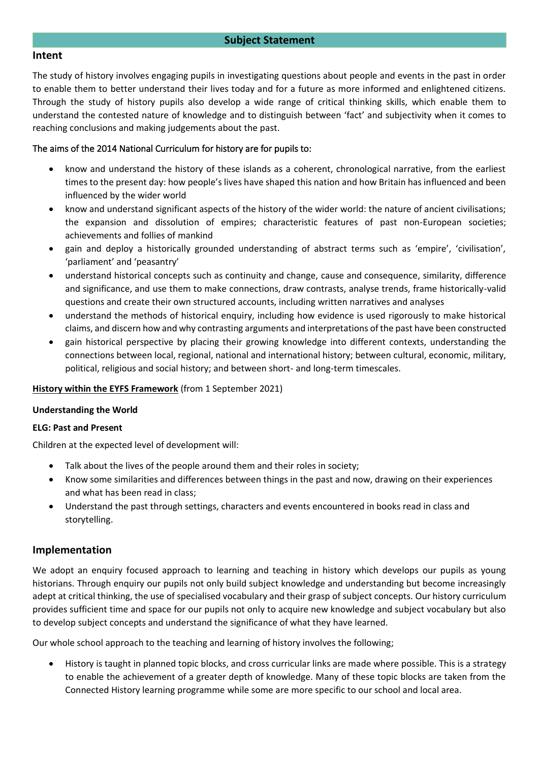#### **Intent**

The study of history involves engaging pupils in investigating questions about people and events in the past in order to enable them to better understand their lives today and for a future as more informed and enlightened citizens. Through the study of history pupils also develop a wide range of critical thinking skills, which enable them to understand the contested nature of knowledge and to distinguish between 'fact' and subjectivity when it comes to reaching conclusions and making judgements about the past.

### The aims of the 2014 National Curriculum for history are for pupils to:

- know and understand the history of these islands as a coherent, chronological narrative, from the earliest times to the present day: how people's lives have shaped this nation and how Britain has influenced and been influenced by the wider world
- know and understand significant aspects of the history of the wider world: the nature of ancient civilisations; the expansion and dissolution of empires; characteristic features of past non-European societies; achievements and follies of mankind
- gain and deploy a historically grounded understanding of abstract terms such as 'empire', 'civilisation', 'parliament' and 'peasantry'
- understand historical concepts such as continuity and change, cause and consequence, similarity, difference and significance, and use them to make connections, draw contrasts, analyse trends, frame historically-valid questions and create their own structured accounts, including written narratives and analyses
- understand the methods of historical enquiry, including how evidence is used rigorously to make historical claims, and discern how and why contrasting arguments and interpretations of the past have been constructed
- gain historical perspective by placing their growing knowledge into different contexts, understanding the connections between local, regional, national and international history; between cultural, economic, military, political, religious and social history; and between short- and long-term timescales.

## **History within the EYFS Framework** (from 1 September 2021)

#### **Understanding the World**

#### **ELG: Past and Present**

Children at the expected level of development will:

- Talk about the lives of the people around them and their roles in society;
- Know some similarities and differences between things in the past and now, drawing on their experiences and what has been read in class;
- Understand the past through settings, characters and events encountered in books read in class and storytelling.

## **Implementation**

We adopt an enquiry focused approach to learning and teaching in history which develops our pupils as young historians. Through enquiry our pupils not only build subject knowledge and understanding but become increasingly adept at critical thinking, the use of specialised vocabulary and their grasp of subject concepts. Our history curriculum provides sufficient time and space for our pupils not only to acquire new knowledge and subject vocabulary but also to develop subject concepts and understand the significance of what they have learned.

Our whole school approach to the teaching and learning of history involves the following;

• History is taught in planned topic blocks, and cross curricular links are made where possible. This is a strategy to enable the achievement of a greater depth of knowledge. Many of these topic blocks are taken from the Connected History learning programme while some are more specific to our school and local area.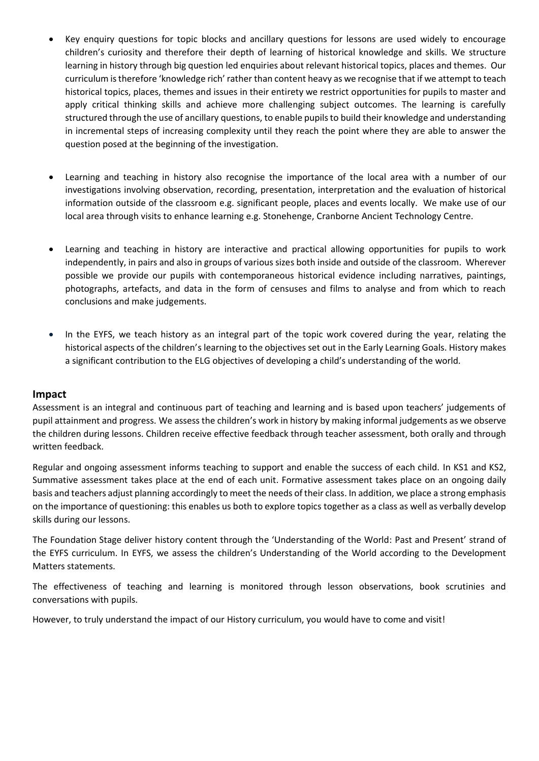- Key enquiry questions for topic blocks and ancillary questions for lessons are used widely to encourage children's curiosity and therefore their depth of learning of historical knowledge and skills. We structure learning in history through big question led enquiries about relevant historical topics, places and themes. Our curriculum is therefore 'knowledge rich' rather than content heavy as we recognise that if we attempt to teach historical topics, places, themes and issues in their entirety we restrict opportunities for pupils to master and apply critical thinking skills and achieve more challenging subject outcomes. The learning is carefully structured through the use of ancillary questions, to enable pupils to build their knowledge and understanding in incremental steps of increasing complexity until they reach the point where they are able to answer the question posed at the beginning of the investigation.
- Learning and teaching in history also recognise the importance of the local area with a number of our investigations involving observation, recording, presentation, interpretation and the evaluation of historical information outside of the classroom e.g. significant people, places and events locally. We make use of our local area through visits to enhance learning e.g. Stonehenge, Cranborne Ancient Technology Centre.
- Learning and teaching in history are interactive and practical allowing opportunities for pupils to work independently, in pairs and also in groups of various sizes both inside and outside of the classroom. Wherever possible we provide our pupils with contemporaneous historical evidence including narratives, paintings, photographs, artefacts, and data in the form of censuses and films to analyse and from which to reach conclusions and make judgements.
- In the EYFS, we teach history as an integral part of the topic work covered during the year, relating the historical aspects of the children's learning to the objectives set out in the Early Learning Goals. History makes a significant contribution to the ELG objectives of developing a child's understanding of the world.

## **Impact**

Assessment is an integral and continuous part of teaching and learning and is based upon teachers' judgements of pupil attainment and progress. We assess the children's work in history by making informal judgements as we observe the children during lessons. Children receive effective feedback through teacher assessment, both orally and through written feedback.

Regular and ongoing assessment informs teaching to support and enable the success of each child. In KS1 and KS2, Summative assessment takes place at the end of each unit. Formative assessment takes place on an ongoing daily basis and teachers adjust planning accordingly to meet the needs of their class. In addition, we place a strong emphasis on the importance of questioning: this enables us both to explore topics together as a class as well as verbally develop skills during our lessons.

The Foundation Stage deliver history content through the 'Understanding of the World: Past and Present' strand of the EYFS curriculum. In EYFS, we assess the children's Understanding of the World according to the Development Matters statements.

The effectiveness of teaching and learning is monitored through lesson observations, book scrutinies and conversations with pupils.

However, to truly understand the impact of our History curriculum, you would have to come and visit!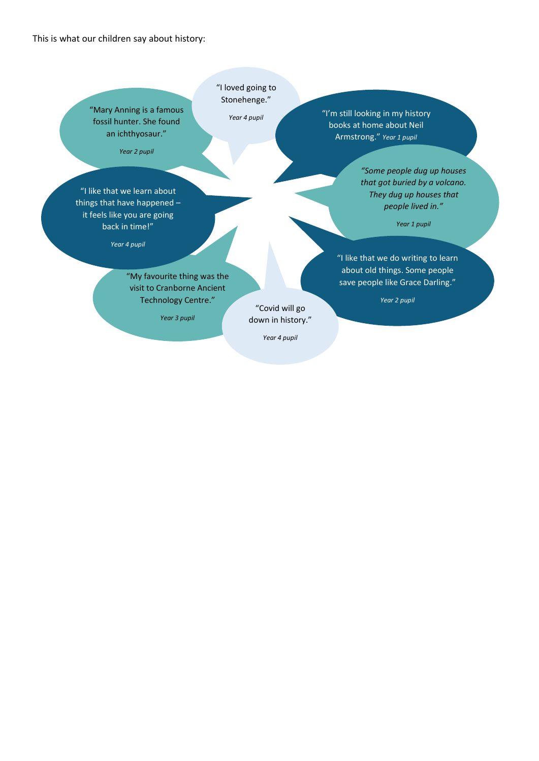This is what our children say about history:

"Mary Anning is a famous fossil hunter. She found an ichthyosaur."

*Year 2 pupil*

"I loved going to Stonehenge."

"I like that we learn about things that have happened – it feels like you are going back in time!"

*Year 4 pupil*

"My favourite thing was the visit to Cranborne Ancient Technology Centre."

*Year 3 pupil*

Year 4 pupil<br>
Year 4 pupil<br>
Year 4 pupil books at home about Neil Armstrong." *Year 1 pupil*

> *"Some people dug up houses that got buried by a volcano. They dug up houses that people lived in."*

> > *Year 1 pupil*

"I like that we do writing to learn about old things. Some people save people like Grace Darling."

*Year 2 pupil*

down in history." *Year 4 pupil*

"Covid will go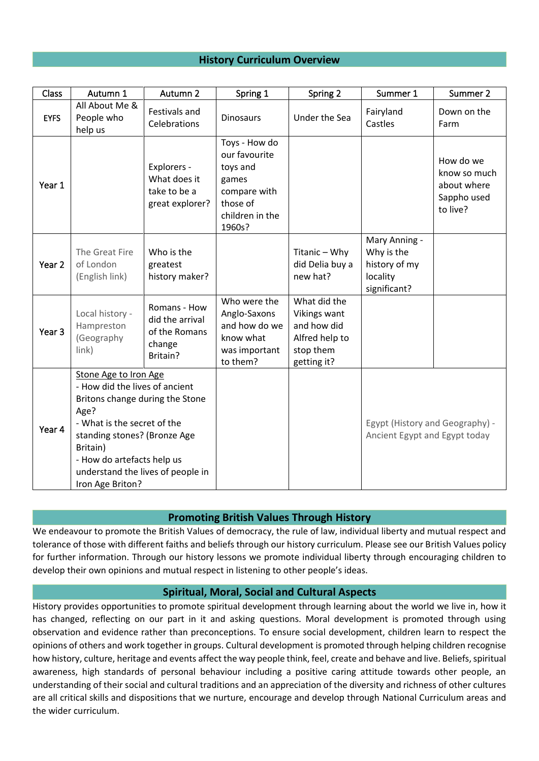## **History Curriculum Overview**

| <b>Class</b>      | Autumn 1                                                                                                                                                                                                                                                             | Autumn 2                                                               | Spring 1                                                                                                     | Spring 2                                                                                  | Summer 1                                                                 | Summer 2                                                            |
|-------------------|----------------------------------------------------------------------------------------------------------------------------------------------------------------------------------------------------------------------------------------------------------------------|------------------------------------------------------------------------|--------------------------------------------------------------------------------------------------------------|-------------------------------------------------------------------------------------------|--------------------------------------------------------------------------|---------------------------------------------------------------------|
| <b>EYFS</b>       | All About Me &<br>People who<br>help us                                                                                                                                                                                                                              | Festivals and<br>Celebrations                                          | <b>Dinosaurs</b>                                                                                             | Under the Sea                                                                             | Fairyland<br>Castles                                                     | Down on the<br>Farm                                                 |
| Year 1            |                                                                                                                                                                                                                                                                      | Explorers -<br>What does it<br>take to be a<br>great explorer?         | Toys - How do<br>our favourite<br>toys and<br>games<br>compare with<br>those of<br>children in the<br>1960s? |                                                                                           |                                                                          | How do we<br>know so much<br>about where<br>Sappho used<br>to live? |
| Year <sub>2</sub> | The Great Fire<br>of London<br>(English link)                                                                                                                                                                                                                        | Who is the<br>greatest<br>history maker?                               |                                                                                                              | Titanic - Why<br>did Delia buy a<br>new hat?                                              | Mary Anning -<br>Why is the<br>history of my<br>locality<br>significant? |                                                                     |
| Year <sub>3</sub> | Local history -<br>Hampreston<br>(Geography<br>link)                                                                                                                                                                                                                 | Romans - How<br>did the arrival<br>of the Romans<br>change<br>Britain? | Who were the<br>Anglo-Saxons<br>and how do we<br>know what<br>was important<br>to them?                      | What did the<br>Vikings want<br>and how did<br>Alfred help to<br>stop them<br>getting it? |                                                                          |                                                                     |
| Year 4            | Stone Age to Iron Age<br>- How did the lives of ancient<br>Britons change during the Stone<br>Age?<br>- What is the secret of the<br>standing stones? (Bronze Age<br>Britain)<br>- How do artefacts help us<br>understand the lives of people in<br>Iron Age Briton? |                                                                        |                                                                                                              |                                                                                           | Egypt (History and Geography) -<br>Ancient Egypt and Egypt today         |                                                                     |

## **Promoting British Values Through History**

We endeavour to promote the British Values of democracy, the rule of law, individual liberty and mutual respect and tolerance of those with different faiths and beliefs through our history curriculum. Please see our British Values policy for further information. Through our history lessons we promote individual liberty through encouraging children to develop their own opinions and mutual respect in listening to other people's ideas.

#### **Spiritual, Moral, Social and Cultural Aspects**

History provides opportunities to promote spiritual development through learning about the world we live in, how it has changed, reflecting on our part in it and asking questions. Moral development is promoted through using observation and evidence rather than preconceptions. To ensure social development, children learn to respect the opinions of others and work together in groups. Cultural development is promoted through helping children recognise how history, culture, heritage and events affect the way people think, feel, create and behave and live. Beliefs, spiritual awareness, high standards of personal behaviour including a positive caring attitude towards other people, an understanding of their social and cultural traditions and an appreciation of the diversity and richness of other cultures are all critical skills and dispositions that we nurture, encourage and develop through National Curriculum areas and the wider curriculum.